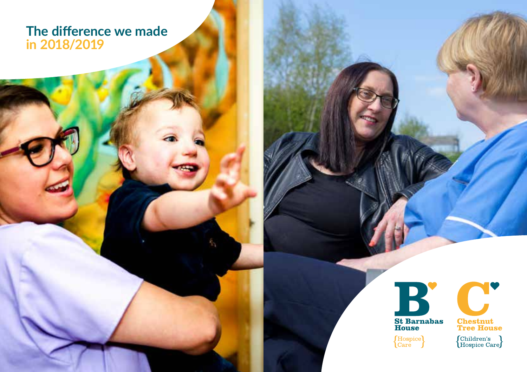## **The difference we made in 2018/2019**





 $\fbox{\parbox{5pt}{\begin{tabular}{|c|c|} \hline \textbf{Children's} \\ \textbf{Hospice Care} \end{tabular}} }$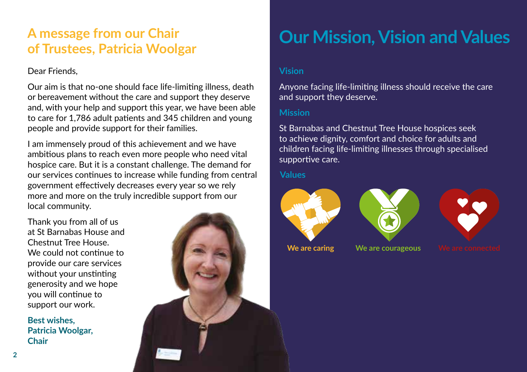## **A message from our Chair of Trustees, Patricia Woolgar**

### Dear Friends,

Our aim is that no-one should face life-limiting illness, death or bereavement without the care and support they deserve and, with your help and support this year, we have been able to care for 1,786 adult patients and 345 children and young people and provide support for their families.

I am immensely proud of this achievement and we have ambitious plans to reach even more people who need vital hospice care. But it is a constant challenge. The demand for our services continues to increase while funding from central government effectively decreases every year so we rely more and more on the truly incredible support from our local community.

Thank you from all of us at St Barnabas House and Chestnut Tree House. We could not continue to provide our care services without your unstinting generosity and we hope you will continue to support our work.

**Best wishes, Patricia Woolgar, Chair**



# **Our Mission, Vision and Values**

### **Vision**

Anyone facing life-limiting illness should receive the care and support they deserve.

#### **Mission**

St Barnabas and Chestnut Tree House hospices seek to achieve dignity, comfort and choice for adults and children facing life-limiting illnesses through specialised supportive care.

#### **Values**







**We are caring We are courageous**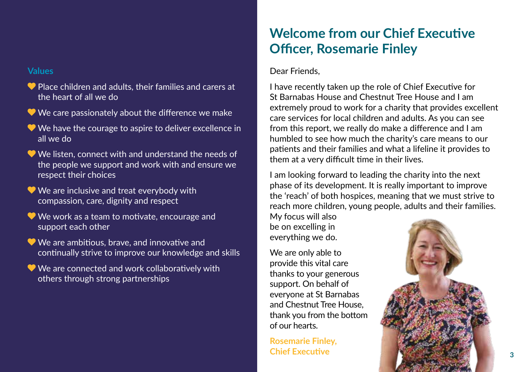#### **Values**

- Place children and adults, their families and carers at the heart of all we do
- We care passionately about the difference we make
- We have the courage to aspire to deliver excellence in all we do
- We listen, connect with and understand the needs of the people we support and work with and ensure we respect their choices
- We are inclusive and treat everybody with compassion, care, dignity and respect
- We work as a team to motivate, encourage and support each other
- We are ambitious, brave, and innovative and continually strive to improve our knowledge and skills
- We are connected and work collaboratively with others through strong partnerships

## **Welcome from our Chief Executive Officer, Rosemarie Finley**

#### Dear Friends,

I have recently taken up the role of Chief Executive for St Barnabas House and Chestnut Tree House and I am extremely proud to work for a charity that provides excellent care services for local children and adults. As you can see from this report, we really do make a difference and I am humbled to see how much the charity's care means to our patients and their families and what a lifeline it provides to them at a very difficult time in their lives.

I am looking forward to leading the charity into the next phase of its development. It is really important to improve the 'reach' of both hospices, meaning that we must strive to reach more children, young people, adults and their families.

My focus will also be on excelling in everything we do.

We are only able to provide this vital care thanks to your generous support. On behalf of everyone at St Barnabas and Chestnut Tree House, thank you from the bottom of our hearts.

**Rosemarie Finley, Chief Executive**

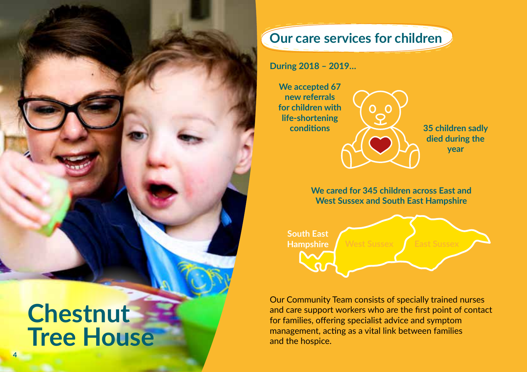# **Chestnut Tree House**

**4**

## **Our care services for children**

**During 2018 – 2019…**

**We accepted 67 new referrals for children with life-shortening conditions**

**35 children sadly died during the year**

**We cared for 345 children across East and West Sussex and South East Hampshire**



Our Community Team consists of specially trained nurses and care support workers who are the first point of contact for families, offering specialist advice and symptom management, acting as a vital link between families and the hospice.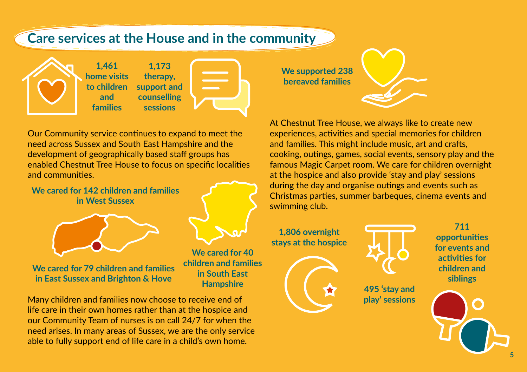## **Care services at the House and in the community**



**1,173 therapy, support and counselling sessions 1,461 home visits to children and families**



Our Community service continues to expand to meet the need across Sussex and South East Hampshire and the development of geographically based staff groups has enabled Chestnut Tree House to focus on specific localities and communities.

**We cared for 142 children and families in West Sussex** 



**We cared for 79 children and families in East Sussex and Brighton & Hove**

**We cared for 40 children and families in South East Hampshire**

Many children and families now choose to receive end of life care in their own homes rather than at the hospice and our Community Team of nurses is on call 24/7 for when the need arises. In many areas of Sussex, we are the only service able to fully support end of life care in a child's own home.

**We supported 238 bereaved families**



At Chestnut Tree House, we always like to create new experiences, activities and special memories for children and families. This might include music, art and crafts, cooking, outings, games, social events, sensory play and the famous Magic Carpet room. We care for children overnight at the hospice and also provide 'stay and play' sessions during the day and organise outings and events such as Christmas parties, summer barbeques, cinema events and swimming club.

**1,806 overnight stays at the hospice**





**495 'stay and play' sessions**

**711 opportunities for events and activities for children and siblings**

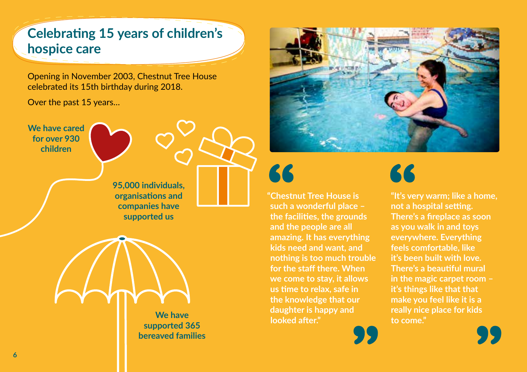## **Celebrating 15 years of children's hospice care**

Opening in November 2003, Chestnut Tree House celebrated its 15th birthday during 2018.

Over the past 15 years…

**We have cared for over 930 children**



**95,000 individuals, organisations and companies have supported us**



**We have supported 365 bereaved families**





**"Chestnut Tree House is such a wonderful place – the facilities, the grounds and the people are all amazing. It has everything kids need and want, and nothing is too much trouble for the staff there. When we come to stay, it allows us time to relax, safe in the knowledge that our daughter is happy and looked after."**



**"It's very warm; like a home, not a hospital setting. There's a fireplace as soon as you walk in and toys everywhere. Everything feels comfortable, like it's been built with love. There's a beautiful mural in the magic carpet room – it's things like that that make you feel like it is a really nice place for kids to come."**

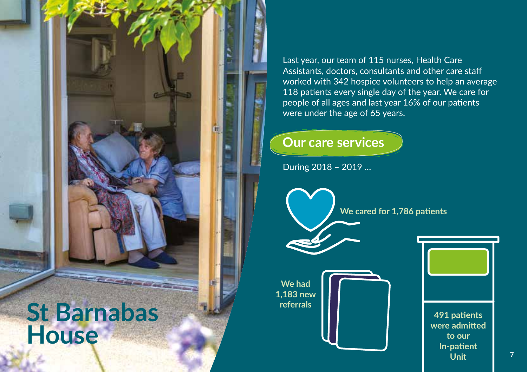

Last year, our team of 115 nurses, Health Care Assistants, doctors, consultants and other care staff worked with 342 hospice volunteers to help an average 118 patients every single day of the year. We care for people of all ages and last year 16% of our patients were under the age of 65 years.

## **Our care services**

During 2018 – 2019 …

**We cared for 1,786 patients**



**491 patients were admitted to our In-patient Unit**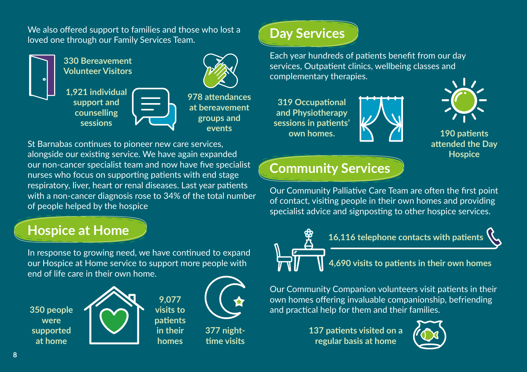We also offered support to families and those who lost a loved one through our Family Services Team.



**330 Bereavement Volunteer Visitors**

**1,921 individual support and counselling sessions**



**978 attendances at bereavement groups and events**

St Barnabas continues to pioneer new care services, alongside our existing service. We have again expanded our non-cancer specialist team and now have five specialist nurses who focus on supporting patients with end stage respiratory, liver, heart or renal diseases. Last year patients with a non-cancer diagnosis rose to 34% of the total number of people helped by the hospice

## **Hospice at Home**

In response to growing need, we have continued to expand our Hospice at Home service to support more people with end of life care in their own home.

> **9,077 visits to patients in their homes**

**350 people were supported at home**





**377 nighttime visits**

# **Day Services**

Each year hundreds of patients benefit from our day services, Outpatient clinics, wellbeing classes and complementary therapies.

**319 Occupational and Physiotherapy sessions in patients' own homes.**



**190 patients attended the Day Hospice** 

## **Community Services**

Our Community Palliative Care Team are often the first point of contact, visiting people in their own homes and providing specialist advice and signposting to other hospice services.



Our Community Companion volunteers visit patients in their

own homes offering invaluable companionship, befriending and practical help for them and their families.

**137 patients visited on a regular basis at home**

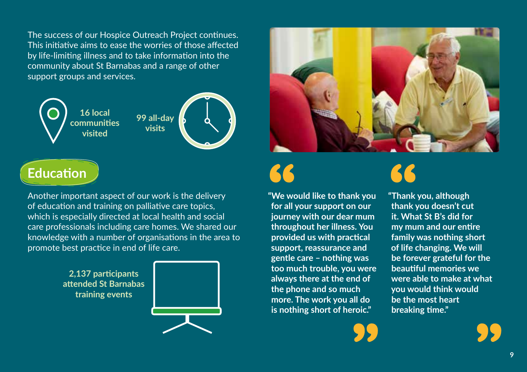The success of our Hospice Outreach Project continues. This initiative aims to ease the worries of those affected by life-limiting illness and to take information into the community about St Barnabas and a range of other support groups and services.



## **Education**

Another important aspect of our work is the delivery of education and training on palliative care topics, which is especially directed at local health and social care professionals including care homes. We shared our knowledge with a number of organisations in the area to promote best practice in end of life care.

> **2,137 participants attended St Barnabas training events**





**"We would like to thank you for all your support on our journey with our dear mum throughout her illness. You provided us with practical support, reassurance and gentle care – nothing was too much trouble, you were always there at the end of the phone and so much more. The work you all do is nothing short of heroic."**



**"Thank you, although thank you doesn't cut it. What St B's did for my mum and our entire family was nothing short of life changing. We will be forever grateful for the beautiful memories we were able to make at what you would think would be the most heart breaking time."**

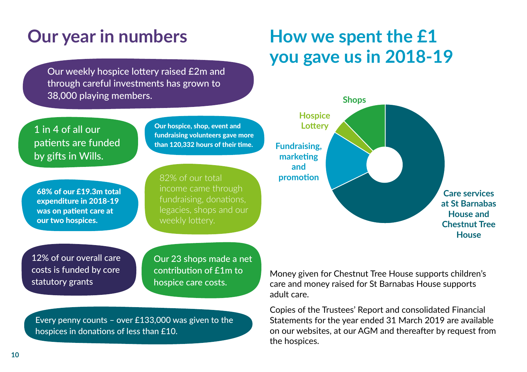Our weekly hospice lottery raised £2m and through careful investments has grown to 38,000 playing members.

## 1 in 4 of all our patients are funded by gifts in Wills.

68% of our £19.3m total expenditure in 2018-19 was on patient care at our two hospices.

Our hospice, shop, event and fundraising volunteers gave more than 120,332 hours of their time.

82% of our total fundraising, donations, legacies, shops and our

12% of our overall care costs is funded by core statutory grants

Our 23 shops made a net contribution of £1m to hospice care costs.

Every penny counts – over £133,000 was given to the hospices in donations of less than £10.

# **Our year in numbers How we spent the £1 you gave us in 2018-19**



Money given for Chestnut Tree House supports children's care and money raised for St Barnabas House supports adult care.

Copies of the Trustees' Report and consolidated Financial Statements for the year ended 31 March 2019 are available on our websites, at our AGM and thereafter by request from the hospices.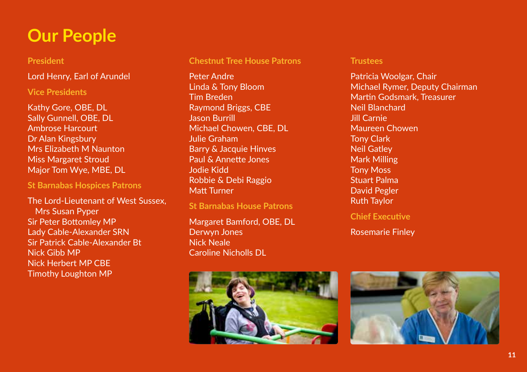# **Our People**

### **President**

Lord Henry, Earl of Arundel

### **Vice Presidents**

Kathy Gore, OBE, DL Sally Gunnell, OBE, DL Ambrose Harcourt Dr Alan Kingsbury Mrs Elizabeth M Naunton Miss Margaret Stroud Major Tom Wye, MBE, DL

#### **St Barnabas Hospices Patrons**

The Lord-Lieutenant of West Sussex, Mrs Susan Pyper Sir Peter Bottomley MP Lady Cable-Alexander SRN Sir Patrick Cable-Alexander Bt Nick Gibb MP Nick Herbert MP CBE Timothy Loughton MP

#### **Chestnut Tree House Patrons**

Peter Andre Linda & Tony Bloom Tim Breden Raymond Briggs, CBE Jason Burrill Michael Chowen, CBE, DL Julie Graham Barry & Jacquie Hinves Paul & Annette Jones Jodie Kidd Robbie & Debi Raggio Matt Turner

**St Barnabas House Patrons**

Margaret Bamford, OBE, DL Derwyn Jones Nick Neale Caroline Nicholls DL



#### **Trustees**

Patricia Woolgar, Chair Michael Rymer, Deputy Chairman Martin Godsmark, Treasurer Neil Blanchard Jill Carnie Maureen Chowen Tony Clark Neil Gatley Mark Milling Tony Moss Stuart Palma David Pegler Ruth Taylor

**Chief Executive**

Rosemarie Finley